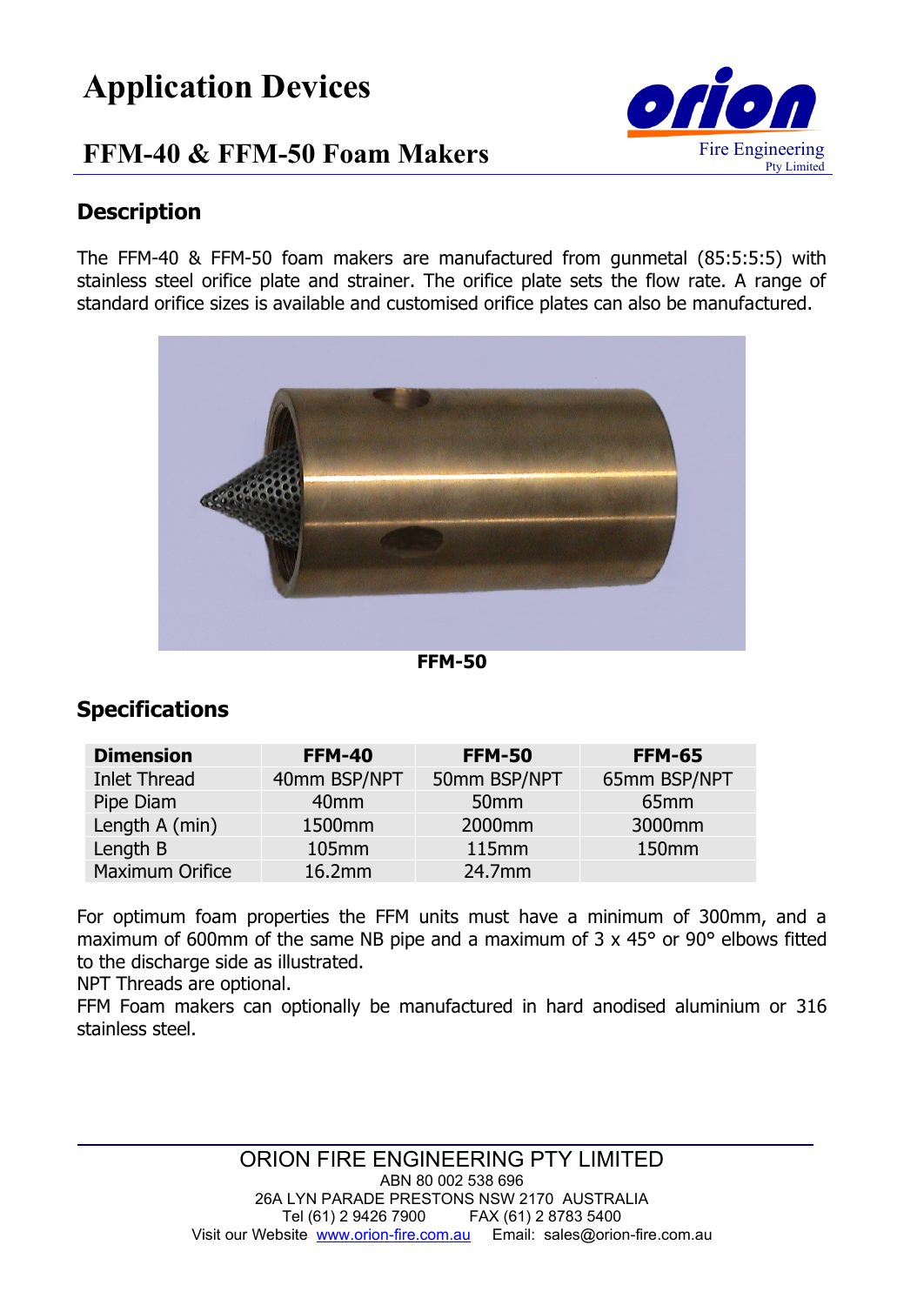# **Application Devices**

## **FFM-40 & FFM-50 Foam Makers**



#### **Description**

The FFM-40 & FFM-50 foam makers are manufactured from gunmetal (85:5:5:5) with stainless steel orifice plate and strainer. The orifice plate sets the flow rate. A range of standard orifice sizes is available and customised orifice plates can also be manufactured.



**FFM-50**

### **Specifications**

| <b>Dimension</b>       | <b>FFM-40</b>    | <b>FFM-50</b>      | <b>FFM-65</b>     |
|------------------------|------------------|--------------------|-------------------|
| <b>Inlet Thread</b>    | 40mm BSP/NPT     | 50mm BSP/NPT       | 65mm BSP/NPT      |
| Pipe Diam              | 40 <sub>mm</sub> | 50 <sub>mm</sub>   | 65 <sub>mm</sub>  |
| Length A (min)         | 1500mm           | 2000 <sub>mm</sub> | 3000mm            |
| Length B               | 105mm            | 115mm              | 150 <sub>mm</sub> |
| <b>Maximum Orifice</b> | 16.2mm           | 24.7mm             |                   |

For optimum foam properties the FFM units must have a minimum of 300mm, and a maximum of 600mm of the same NB pipe and a maximum of 3 x 45° or 90° elbows fitted to the discharge side as illustrated.

NPT Threads are optional.

FFM Foam makers can optionally be manufactured in hard anodised aluminium or 316 stainless steel.